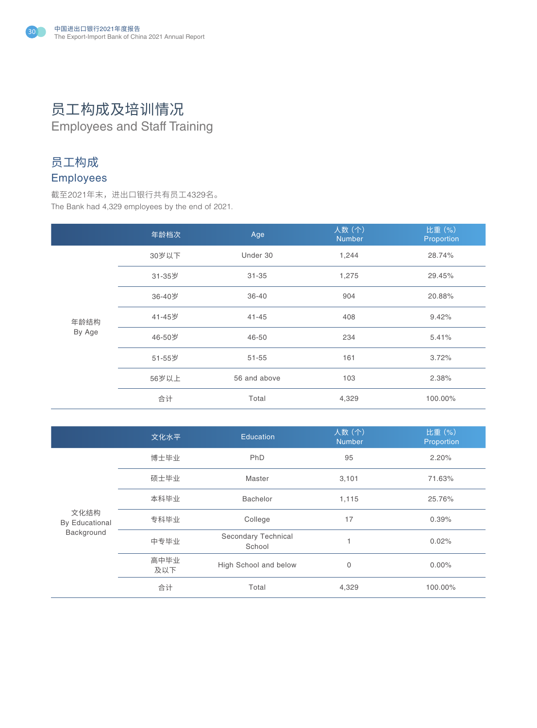## 员工构成及培训情况 Employees and Staff Training

## 员工构成 Employees

截至2021年末,进出口银行共有员工4329名。 The Bank had 4,329 employees by the end of 2021.

|                | 年龄档次   | Age          | 人数(个)<br><b>Number</b> | 比重(%)<br>Proportion |
|----------------|--------|--------------|------------------------|---------------------|
| 年龄结构<br>By Age | 30岁以下  | Under 30     | 1,244                  | 28.74%              |
|                | 31-35岁 | $31 - 35$    | 1,275                  | 29.45%              |
|                | 36-40岁 | $36 - 40$    | 904                    | 20.88%              |
|                | 41-45岁 | $41 - 45$    | 408                    | 9.42%               |
|                | 46-50岁 | 46-50        | 234                    | 5.41%               |
|                | 51-55岁 | $51 - 55$    | 161                    | 3.72%               |
|                | 56岁以上  | 56 and above | 103                    | 2.38%               |
|                | 合计     | Total        | 4,329                  | 100.00%             |

|                                      | 文化水平        | <b>Education</b>              | 人数(个)<br><b>Number</b> | 比重(%)<br>Proportion |
|--------------------------------------|-------------|-------------------------------|------------------------|---------------------|
| 文化结构<br>By Educational<br>Background | 博士毕业        | PhD                           | 95                     | 2.20%               |
|                                      | 硕士毕业        | Master                        | 3,101                  | 71.63%              |
|                                      | 本科毕业        | <b>Bachelor</b>               | 1,115                  | 25.76%              |
|                                      | 专科毕业        | College                       | 17                     | 0.39%               |
|                                      | 中专毕业        | Secondary Technical<br>School |                        | 0.02%               |
|                                      | 高中毕业<br>及以下 | High School and below         | 0                      | $0.00\%$            |
|                                      | 合计          | Total                         | 4,329                  | 100.00%             |